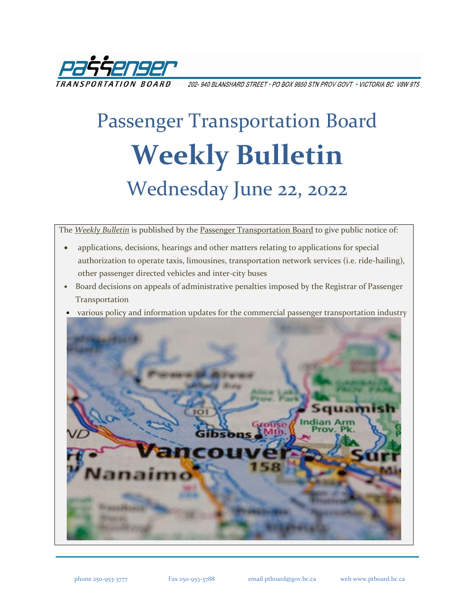

202-940 BLANSHARD STREET • PO BOX 9850 STN PROV GOVT • VICTORIA BC V8W 9T5

# Passenger Transportation Board **Weekly Bulletin** Wednesday June 22, 2022

The *[Weekly Bulletin](https://www.ptboard.bc.ca/bulletins.htm)* is published by th[e Passenger Transportation Board](https://www.ptboard.bc.ca/index.htm) to give public notice of:

- applications, decisions, hearings and other matters relating to applications for special authorization to operate taxis, limousines, transportation network services (i.e. ride-hailing), other passenger directed vehicles and inter-city buses
- Board decisions on appeals of administrative penalties imposed by the Registrar of Passenger Transportation
- various policy and information updates for the commercial passenger transportation industry

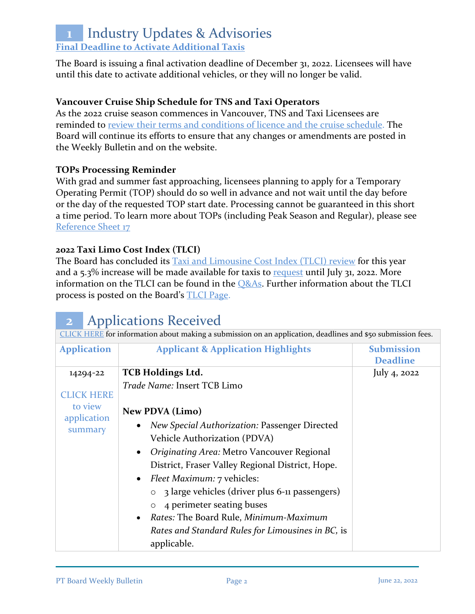## **1** Industry Updates & Advisories **[Final Deadline to Activate Additional Taxis](https://www.ptboard.bc.ca/documents/ia-taxi-activation-final-extension-2022.pdf)**

The Board is issuing a final activation deadline of December 31, 2022. Licensees will have until this date to activate additional vehicles, or they will no longer be valid.

### **Vancouver Cruise Ship Schedule for TNS and Taxi Operators**

As the 2022 cruise season commences in Vancouver, TNS and Taxi Licensees are reminded to [review their terms and conditions of licence and the cruise schedule.](https://www.ptboard.bc.ca/documents/ia-Vancouver-Cruise-Ship-Season-Reminder-2022.pdf) The Board will continue its efforts to ensure that any changes or amendments are posted in the Weekly Bulletin and on the website.

#### **TOPs Processing Reminder**

With grad and summer fast approaching, licensees planning to apply for a Temporary Operating Permit (TOP) should do so well in advance and not wait until the day before or the day of the requested TOP start date. Processing cannot be guaranteed in this short a time period. To learn more about TOPs (including Peak Season and Regular), please see [Reference Sheet 17](http://www.th.gov.bc.ca/forms/getForm.aspx?formId=1351)

### **2022 Taxi Limo Cost Index (TLCI)**

The Board has concluded its [Taxi and Limousine Cost Index \(TLCI\) review](https://www.ptboard.bc.ca/documents/ia-tlci-2022.pdf) for this year and a  $5.3\%$  increase will be made available for taxis to [request](https://www.th.gov.bc.ca/forms/getForm.aspx?formId=1377) until July 31, 2022. More information on the TLCI can be found in the  $Q&As$ . Further information about the TLCI process is posted on the Board's [TLCI Page.](https://www.ptboard.bc.ca/tlci.htm)

| <b>Applications Received</b><br>$\overline{\mathbf{2}}$                                                     |                                                         |                                      |  |
|-------------------------------------------------------------------------------------------------------------|---------------------------------------------------------|--------------------------------------|--|
| CLICK HERE for information about making a submission on an application, deadlines and \$50 submission fees. |                                                         |                                      |  |
| <b>Application</b>                                                                                          | <b>Applicant &amp; Application Highlights</b>           | <b>Submission</b><br><b>Deadline</b> |  |
| 14294-22                                                                                                    | <b>TCB Holdings Ltd.</b>                                | July 4, $2022$                       |  |
| <b>CLICK HERE</b>                                                                                           | Trade Name: Insert TCB Limo                             |                                      |  |
| to view                                                                                                     | <b>New PDVA</b> (Limo)                                  |                                      |  |
| application<br>summary                                                                                      | <b>New Special Authorization: Passenger Directed</b>    |                                      |  |
|                                                                                                             | Vehicle Authorization (PDVA)                            |                                      |  |
|                                                                                                             | Originating Area: Metro Vancouver Regional<br>$\bullet$ |                                      |  |
|                                                                                                             | District, Fraser Valley Regional District, Hope.        |                                      |  |
|                                                                                                             | <i>Fleet Maximum:</i> 7 vehicles:                       |                                      |  |
|                                                                                                             | 3 large vehicles (driver plus 6-11 passengers)          |                                      |  |
|                                                                                                             | 4 perimeter seating buses                               |                                      |  |
|                                                                                                             | Rates: The Board Rule, Minimum-Maximum                  |                                      |  |
|                                                                                                             | Rates and Standard Rules for Limousines in BC, is       |                                      |  |
|                                                                                                             | applicable.                                             |                                      |  |